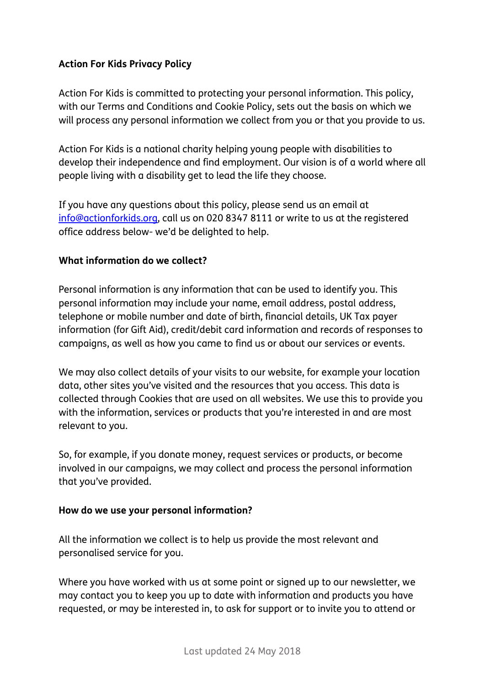# **Action For Kids Privacy Policy**

Action For Kids is committed to protecting your personal information. This policy, with our Terms and Conditions and Cookie Policy, sets out the basis on which we will process any personal information we collect from you or that you provide to us.

Action For Kids is a national charity helping young people with disabilities to develop their independence and find employment. Our vision is of a world where all people living with a disability get to lead the life they choose.

If you have any questions about this policy, please send us an email at [info@actionforkids.org,](mailto:info@actionforkids.org) call us on 020 8347 8111 or write to us at the registered office address below- we'd be delighted to help.

### **What information do we collect?**

Personal information is any information that can be used to identify you. This personal information may include your name, email address, postal address, telephone or mobile number and date of birth, financial details, UK Tax payer information (for Gift Aid), credit/debit card information and records of responses to campaigns, as well as how you came to find us or about our services or events.

We may also collect details of your visits to our website, for example your location data, other sites you've visited and the resources that you access. This data is collected through Cookies that are used on all websites. We use this to provide you with the information, services or products that you're interested in and are most relevant to you.

So, for example, if you donate money, request services or products, or become involved in our campaigns, we may collect and process the personal information that you've provided.

#### **How do we use your personal information?**

All the information we collect is to help us provide the most relevant and personalised service for you.

Where you have worked with us at some point or signed up to our newsletter, we may contact you to keep you up to date with information and products you have requested, or may be interested in, to ask for support or to invite you to attend or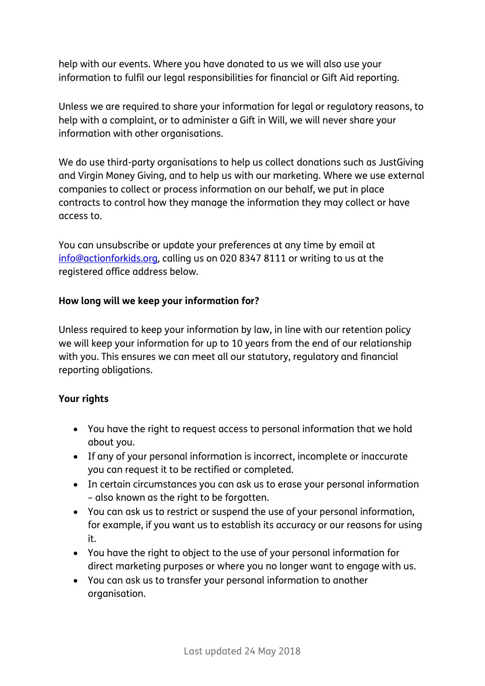help with our events. Where you have donated to us we will also use your information to fulfil our legal responsibilities for financial or Gift Aid reporting.

Unless we are required to share your information for legal or regulatory reasons, to help with a complaint, or to administer a Gift in Will, we will never share your information with other organisations.

We do use third-party organisations to help us collect donations such as JustGiving and Virgin Money Giving, and to help us with our marketing. Where we use external companies to collect or process information on our behalf, we put in place contracts to control how they manage the information they may collect or have access to.

You can unsubscribe or update your preferences at any time by email at [info@actionforkids.org,](mailto:info@actionforkids.org) calling us on 020 8347 8111 or writing to us at the registered office address below.

### **How long will we keep your information for?**

Unless required to keep your information by law, in line with our retention policy we will keep your information for up to 10 years from the end of our relationship with you. This ensures we can meet all our statutory, regulatory and financial reporting obligations.

# **Your rights**

- You have the right to request access to personal information that we hold about you.
- If any of your personal information is incorrect, incomplete or inaccurate you can request it to be rectified or completed.
- In certain circumstances you can ask us to erase your personal information – also known as the right to be forgotten.
- You can ask us to restrict or suspend the use of your personal information, for example, if you want us to establish its accuracy or our reasons for using it.
- You have the right to object to the use of your personal information for direct marketing purposes or where you no longer want to engage with us.
- You can ask us to transfer your personal information to another organisation.